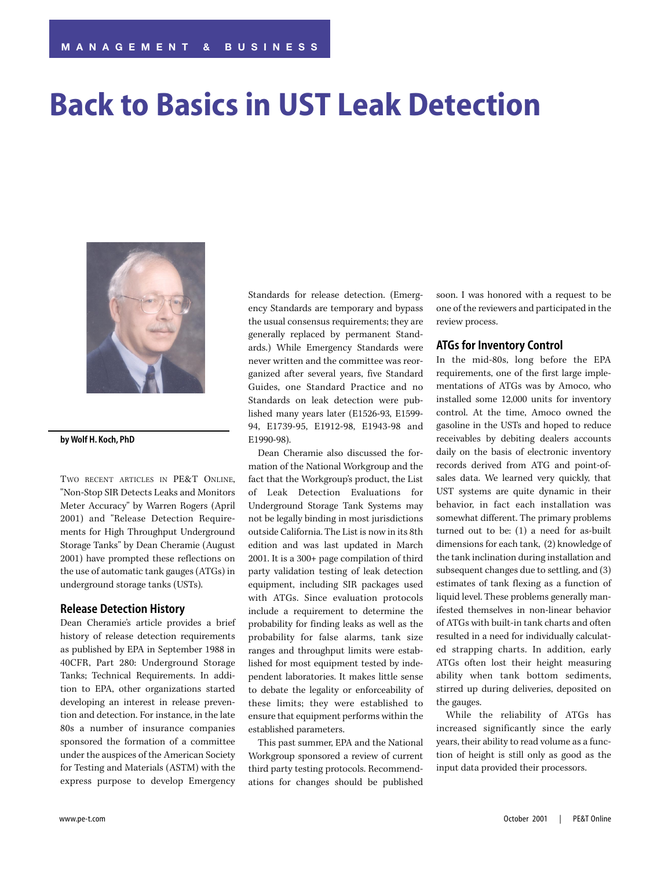# **Back to Basics in UST Leak Detection**



#### **by Wolf H. Koch, PhD**

TWO RECENT ARTICLES IN PE&T ONLINE, "Non-Stop SIR Detects Leaks and Monitors Meter Accuracy" by Warren Rogers (April 2001) and "Release Detection Requirements for High Throughput Underground Storage Tanks" by Dean Cheramie (August 2001) have prompted these reflections on the use of automatic tank gauges (ATGs) in underground storage tanks (USTs).

#### **Release Detection History**

Dean Cheramie's article provides a brief history of release detection requirements as published by EPA in September 1988 in 40CFR, Part 280: Underground Storage Tanks; Technical Requirements. In addition to EPA, other organizations started developing an interest in release prevention and detection. For instance, in the late 80s a number of insurance companies sponsored the formation of a committee under the auspices of the American Society for Testing and Materials (ASTM) with the express purpose to develop Emergency

Standards for release detection. (Emergency Standards are temporary and bypass the usual consensus requirements; they are generally replaced by permanent Standards.) While Emergency Standards were never written and the committee was reorganized after several years, five Standard Guides, one Standard Practice and no Standards on leak detection were published many years later (E1526-93, E1599- 94, E1739-95, E1912-98, E1943-98 and E1990-98).

Dean Cheramie also discussed the formation of the National Workgroup and the fact that the Workgroup's product, the List of Leak Detection Evaluations for Underground Storage Tank Systems may not be legally binding in most jurisdictions outside California. The List is now in its 8th edition and was last updated in March 2001. It is a 300+ page compilation of third party validation testing of leak detection equipment, including SIR packages used with ATGs. Since evaluation protocols include a requirement to determine the probability for finding leaks as well as the probability for false alarms, tank size ranges and throughput limits were established for most equipment tested by independent laboratories. It makes little sense to debate the legality or enforceability of these limits; they were established to ensure that equipment performs within the established parameters.

This past summer, EPA and the National Workgroup sponsored a review of current third party testing protocols. Recommendations for changes should be published

soon. I was honored with a request to be one of the reviewers and participated in the review process.

#### **ATGs for Inventory Control**

In the mid-80s, long before the EPA requirements, one of the first large implementations of ATGs was by Amoco, who installed some 12,000 units for inventory control. At the time, Amoco owned the gasoline in the USTs and hoped to reduce receivables by debiting dealers accounts daily on the basis of electronic inventory records derived from ATG and point-ofsales data. We learned very quickly, that UST systems are quite dynamic in their behavior, in fact each installation was somewhat different. The primary problems turned out to be: (1) a need for as-built dimensions for each tank, (2) knowledge of the tank inclination during installation and subsequent changes due to settling, and (3) estimates of tank flexing as a function of liquid level. These problems generally manifested themselves in non-linear behavior of ATGs with built-in tank charts and often resulted in a need for individually calculated strapping charts. In addition, early ATGs often lost their height measuring ability when tank bottom sediments, stirred up during deliveries, deposited on the gauges.

While the reliability of ATGs has increased significantly since the early years, their ability to read volume as a function of height is still only as good as the input data provided their processors.